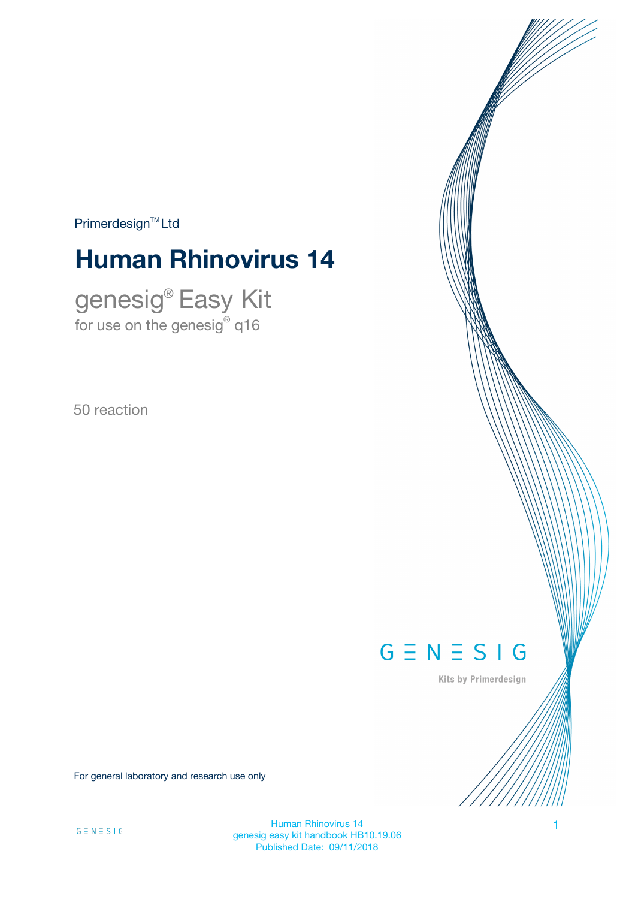$Primerdesign<sup>™</sup>Ltd$ 

# **Human Rhinovirus 14**

genesig® Easy Kit for use on the genesig $^\circ$  q16

50 reaction



Kits by Primerdesign

For general laboratory and research use only

Human Rhinovirus 14 1 genesig easy kit handbook HB10.19.06 Published Date: 09/11/2018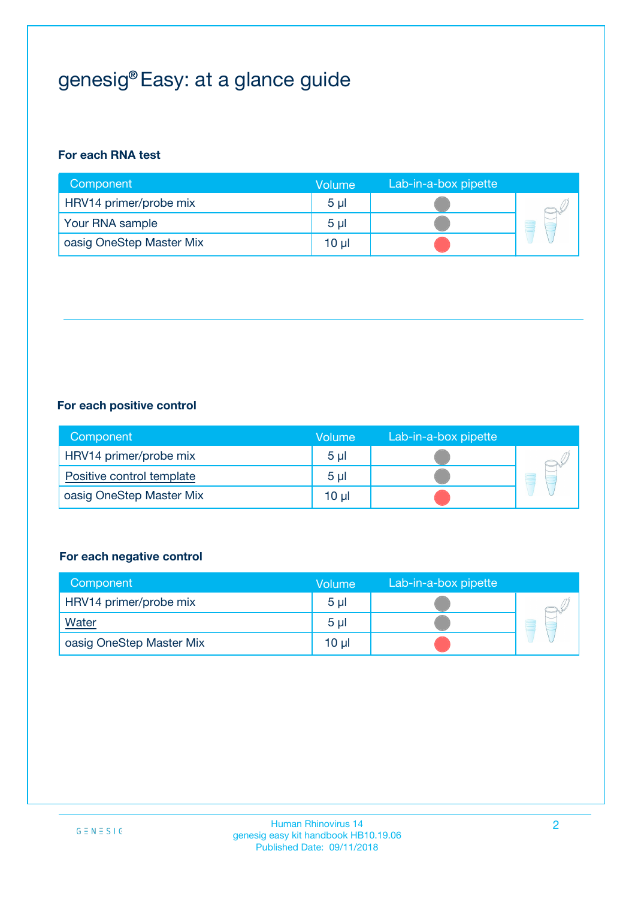# genesig® Easy: at a glance guide

#### **For each RNA test**

| Component                | <b>Volume</b>  | Lab-in-a-box pipette |  |
|--------------------------|----------------|----------------------|--|
| HRV14 primer/probe mix   | 5 <sub>µ</sub> |                      |  |
| Your RNA sample          | 5 <sub>µ</sub> |                      |  |
| oasig OneStep Master Mix | 10 µl          |                      |  |

#### **For each positive control**

| Component                 | Volume         | Lab-in-a-box pipette |  |
|---------------------------|----------------|----------------------|--|
| HRV14 primer/probe mix    | 5 <sub>µ</sub> |                      |  |
| Positive control template | 5 <sub>µ</sub> |                      |  |
| oasig OneStep Master Mix  | 10 µl          |                      |  |

#### **For each negative control**

| Component                | <b>Volume</b>   | Lab-in-a-box pipette |   |
|--------------------------|-----------------|----------------------|---|
| HRV14 primer/probe mix   | 5 <sub>µ</sub>  |                      |   |
| Water                    | 5 <sub>µ</sub>  |                      | ٣ |
| oasig OneStep Master Mix | 10 <sub>µ</sub> |                      |   |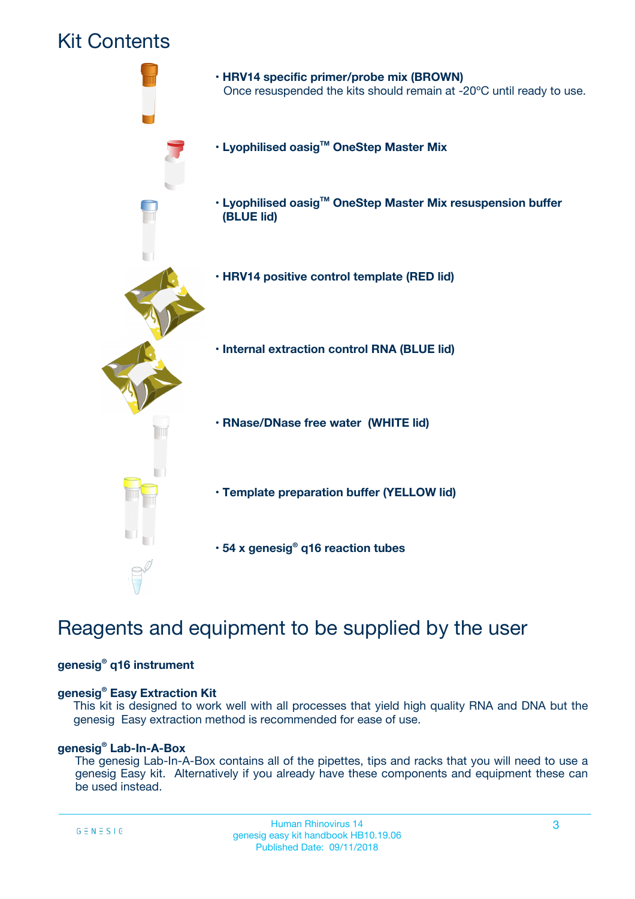## Kit Contents



## Reagents and equipment to be supplied by the user

#### **genesig® q16 instrument**

#### **genesig® Easy Extraction Kit**

This kit is designed to work well with all processes that yield high quality RNA and DNA but the genesig Easy extraction method is recommended for ease of use.

#### **genesig® Lab-In-A-Box**

The genesig Lab-In-A-Box contains all of the pipettes, tips and racks that you will need to use a genesig Easy kit. Alternatively if you already have these components and equipment these can be used instead.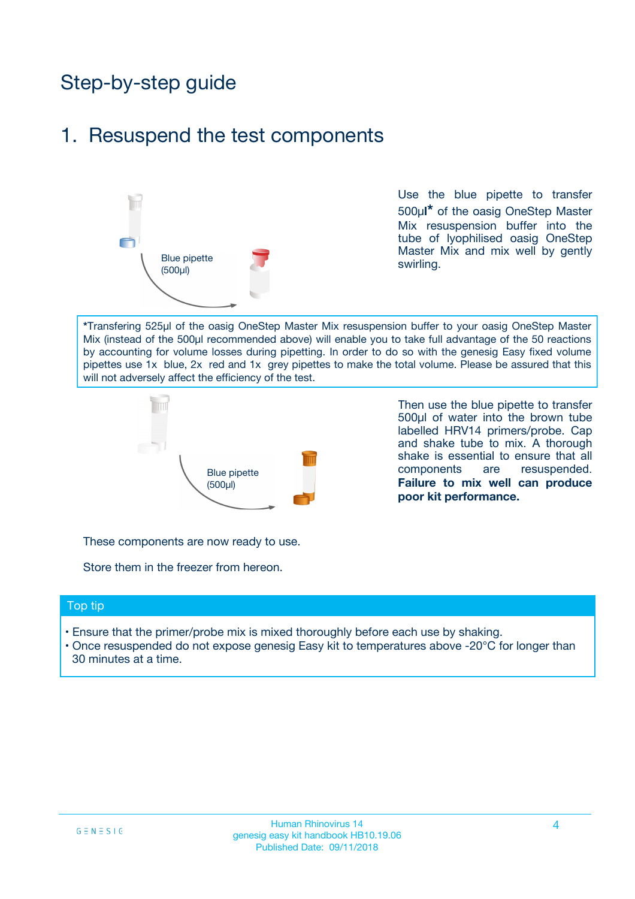## Step-by-step guide

### 1. Resuspend the test components



Use the blue pipette to transfer 500µ**l\*** of the oasig OneStep Master Mix resuspension buffer into the tube of lyophilised oasig OneStep Master Mix and mix well by gently swirling.

**\***Transfering 525µl of the oasig OneStep Master Mix resuspension buffer to your oasig OneStep Master Mix (instead of the 500µl recommended above) will enable you to take full advantage of the 50 reactions by accounting for volume losses during pipetting. In order to do so with the genesig Easy fixed volume pipettes use 1x blue, 2x red and 1x grey pipettes to make the total volume. Please be assured that this will not adversely affect the efficiency of the test.



Then use the blue pipette to transfer 500µl of water into the brown tube labelled HRV14 primers/probe. Cap and shake tube to mix. A thorough shake is essential to ensure that all components are resuspended. **Failure to mix well can produce poor kit performance.**

These components are now ready to use.

Store them in the freezer from hereon.

#### Top tip

- Ensure that the primer/probe mix is mixed thoroughly before each use by shaking.
- Once resuspended do not expose genesig Easy kit to temperatures above -20°C for longer than 30 minutes at a time.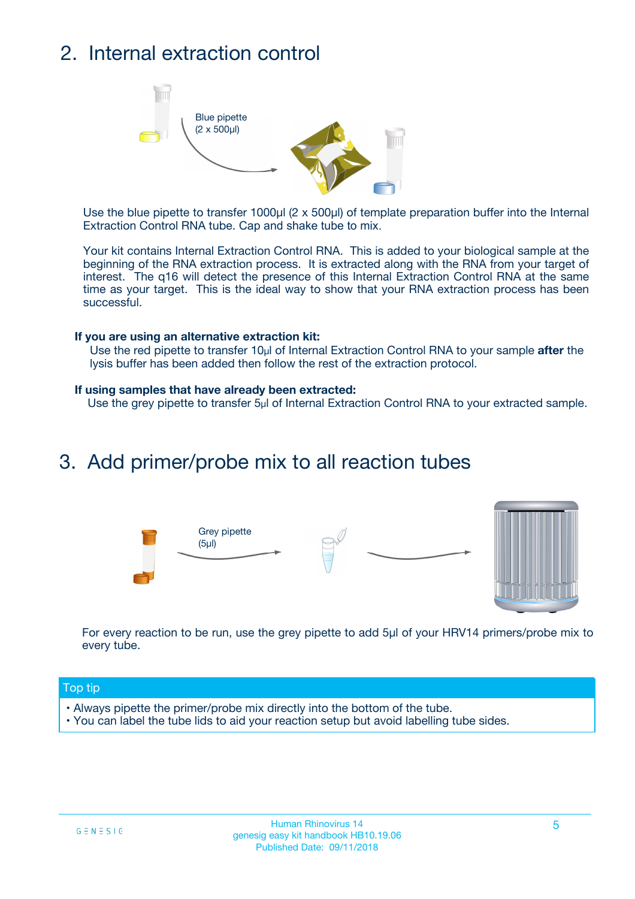## 2. Internal extraction control



Use the blue pipette to transfer 1000µl (2 x 500µl) of template preparation buffer into the Internal Extraction Control RNA tube. Cap and shake tube to mix.

Your kit contains Internal Extraction Control RNA. This is added to your biological sample at the beginning of the RNA extraction process. It is extracted along with the RNA from your target of interest. The q16 will detect the presence of this Internal Extraction Control RNA at the same time as your target. This is the ideal way to show that your RNA extraction process has been successful.

#### **If you are using an alternative extraction kit:**

Use the red pipette to transfer 10µl of Internal Extraction Control RNA to your sample **after** the lysis buffer has been added then follow the rest of the extraction protocol.

#### **If using samples that have already been extracted:**

Use the grey pipette to transfer 5µl of Internal Extraction Control RNA to your extracted sample.

### 3. Add primer/probe mix to all reaction tubes





For every reaction to be run, use the grey pipette to add 5µl of your HRV14 primers/probe mix to every tube.

#### Top tip

- Always pipette the primer/probe mix directly into the bottom of the tube.
- You can label the tube lids to aid your reaction setup but avoid labelling tube sides.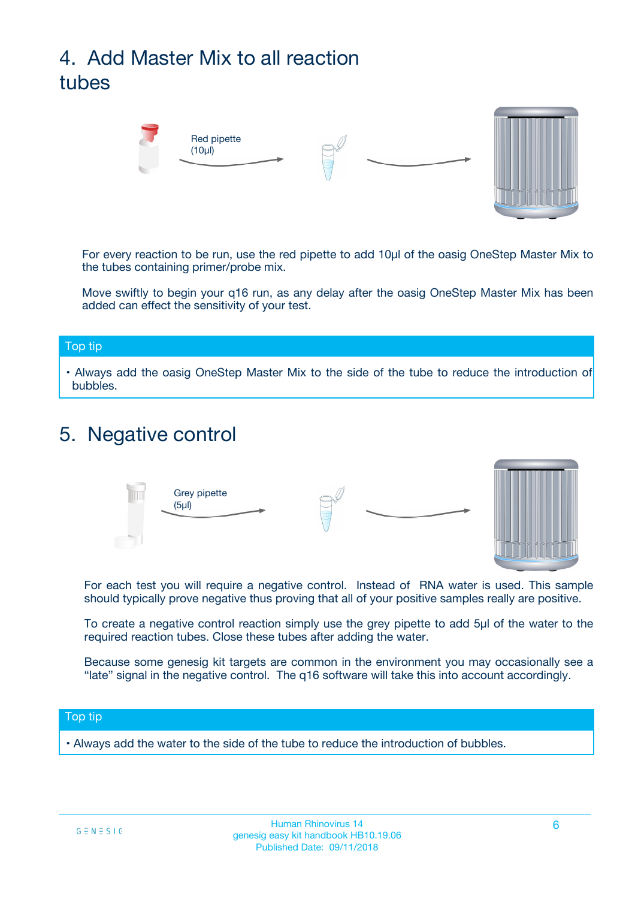# 4. Add Master Mix to all reaction tubes



For every reaction to be run, use the red pipette to add 10µl of the oasig OneStep Master Mix to the tubes containing primer/probe mix.

Move swiftly to begin your q16 run, as any delay after the oasig OneStep Master Mix has been added can effect the sensitivity of your test.

#### Top tip

**•** Always add the oasig OneStep Master Mix to the side of the tube to reduce the introduction of bubbles.

### 5. Negative control



For each test you will require a negative control. Instead of RNA water is used. This sample should typically prove negative thus proving that all of your positive samples really are positive.

To create a negative control reaction simply use the grey pipette to add 5µl of the water to the required reaction tubes. Close these tubes after adding the water.

Because some genesig kit targets are common in the environment you may occasionally see a "late" signal in the negative control. The q16 software will take this into account accordingly.

#### Top tip

**•** Always add the water to the side of the tube to reduce the introduction of bubbles.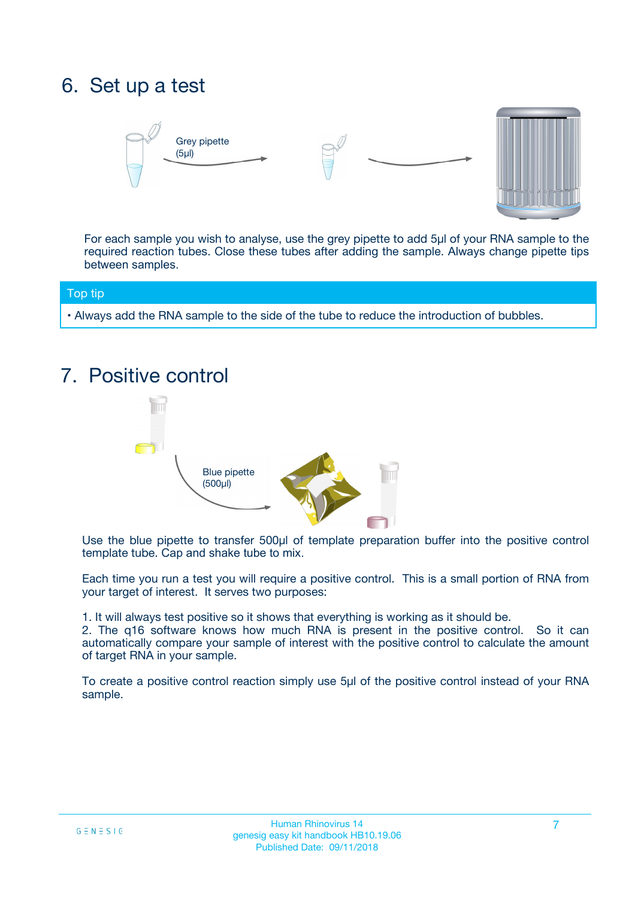## 6. Set up a test





For each sample you wish to analyse, use the grey pipette to add 5µl of your RNA sample to the required reaction tubes. Close these tubes after adding the sample. Always change pipette tips between samples.

#### Top tip

**•** Always add the RNA sample to the side of the tube to reduce the introduction of bubbles.

## 7. Positive control



Use the blue pipette to transfer 500µl of template preparation buffer into the positive control template tube. Cap and shake tube to mix.

Each time you run a test you will require a positive control. This is a small portion of RNA from your target of interest. It serves two purposes:

1. It will always test positive so it shows that everything is working as it should be.

2. The q16 software knows how much RNA is present in the positive control. So it can automatically compare your sample of interest with the positive control to calculate the amount of target RNA in your sample.

To create a positive control reaction simply use 5µl of the positive control instead of your RNA sample.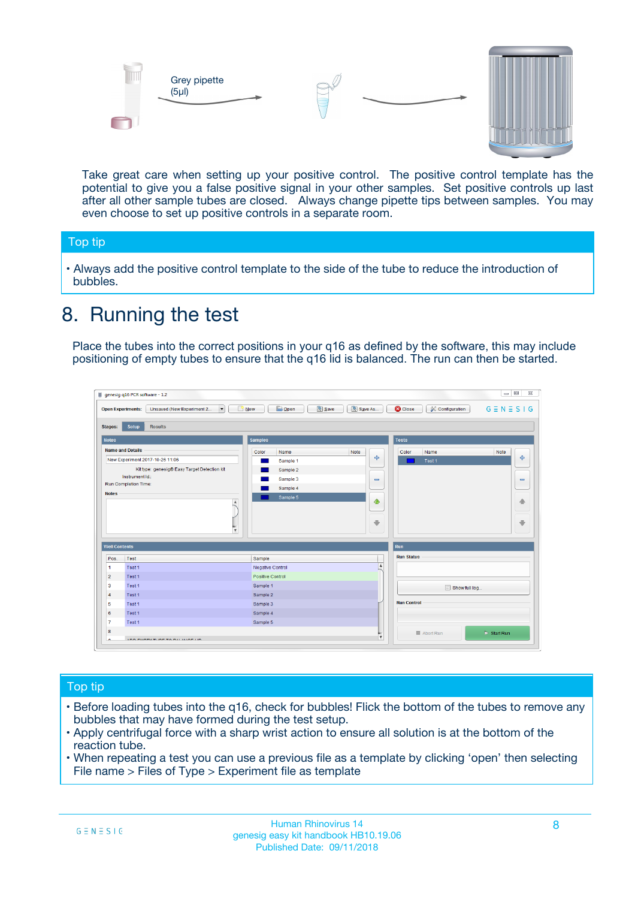



Take great care when setting up your positive control. The positive control template has the potential to give you a false positive signal in your other samples. Set positive controls up last after all other sample tubes are closed. Always change pipette tips between samples. You may even choose to set up positive controls in a separate room.

#### Top tip

**•** Always add the positive control template to the side of the tube to reduce the introduction of bubbles.

## 8. Running the test

Place the tubes into the correct positions in your q16 as defined by the software, this may include positioning of empty tubes to ensure that the q16 lid is balanced. The run can then be started.

|                      | genesig q16 PCR software - 1.2                                                    |                                            |                         |                                 | $= 0$<br>$\Sigma\!3$         |
|----------------------|-----------------------------------------------------------------------------------|--------------------------------------------|-------------------------|---------------------------------|------------------------------|
|                      | Unsaved (New Experiment 2<br>$\overline{\phantom{a}}$<br><b>Open Experiments:</b> | <b>E</b> Open<br><b>Save</b><br>$\Box$ New | Save As                 | <b>C</b> Close<br>Configuration | $G \equiv N \equiv S \mid G$ |
| <b>Stages:</b>       | Setup<br><b>Results</b>                                                           |                                            |                         |                                 |                              |
| <b>Notes</b>         |                                                                                   | <b>Samples</b>                             |                         | <b>Tests</b>                    |                              |
|                      | <b>Name and Details</b>                                                           | Color<br>Name                              | Note                    | Color<br>Name                   | Note                         |
|                      | New Experiment 2017-10-26 11:06                                                   | Sample 1                                   | 4                       | Test 1                          | 4                            |
|                      | Kit type: genesig® Easy Target Detection kit                                      | Sample 2                                   |                         |                                 |                              |
|                      | Instrument Id.:                                                                   | Sample 3                                   | $\equiv$                |                                 | $\equiv$                     |
|                      | <b>Run Completion Time:</b>                                                       | Sample 4                                   |                         |                                 |                              |
| <b>Notes</b>         | $\blacktriangle$                                                                  | Sample 5                                   | ♦                       |                                 | 傦                            |
|                      | $\overline{\mathbf{v}}$                                                           |                                            | ÷                       |                                 | ⊕                            |
| <b>Well Contents</b> |                                                                                   |                                            |                         | Run                             |                              |
| Pos.                 | Test                                                                              | Sample                                     |                         | <b>Run Status</b>               |                              |
| $\blacktriangleleft$ | Test 1                                                                            | Negative Control                           | $\blacktriangle$        |                                 |                              |
| $\overline{2}$       | Test 1                                                                            | Positive Control                           |                         |                                 |                              |
| 3                    | Test 1                                                                            | Sample 1                                   |                         | Show full log                   |                              |
| $\overline{4}$       | Test 1                                                                            | Sample 2                                   |                         |                                 |                              |
| 5                    | Test 1                                                                            | Sample 3                                   |                         | <b>Run Control</b>              |                              |
| 6                    | Test 1                                                                            | Sample 4                                   |                         |                                 |                              |
| $\overline{7}$       | Test 1                                                                            | Sample 5                                   |                         |                                 |                              |
| 8                    |                                                                                   |                                            |                         | Abort Run                       | $\triangleright$ Start Run   |
| Lo.                  | <b>INN FURTY TURE TO BUILDING UP.</b>                                             |                                            | $\overline{\mathbf{v}}$ |                                 |                              |

#### Top tip

- Before loading tubes into the q16, check for bubbles! Flick the bottom of the tubes to remove any bubbles that may have formed during the test setup.
- Apply centrifugal force with a sharp wrist action to ensure all solution is at the bottom of the reaction tube.
- When repeating a test you can use a previous file as a template by clicking 'open' then selecting File name > Files of Type > Experiment file as template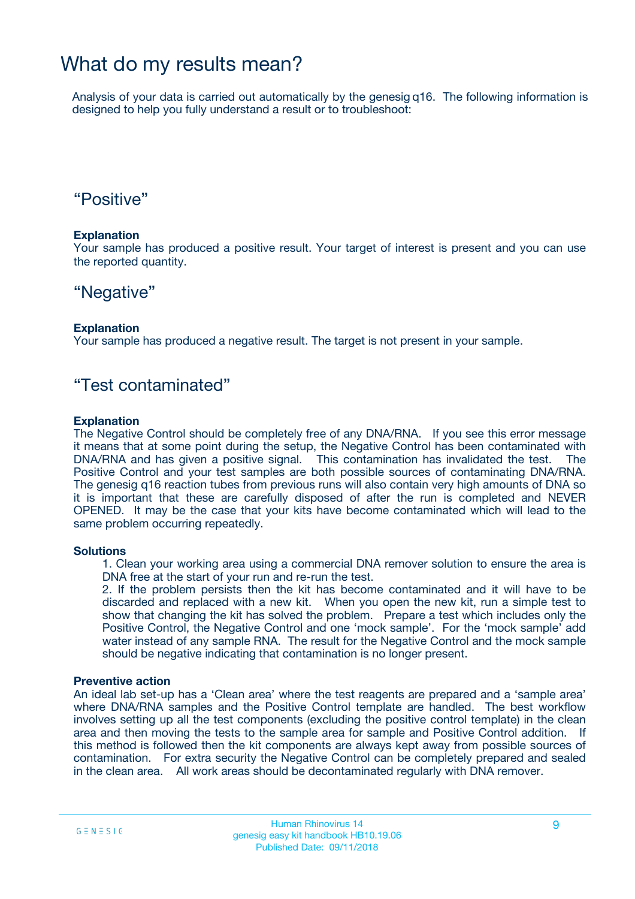### What do my results mean?

Analysis of your data is carried out automatically by the genesig q16. The following information is designed to help you fully understand a result or to troubleshoot:

### "Positive"

#### **Explanation**

Your sample has produced a positive result. Your target of interest is present and you can use the reported quantity.

### "Negative"

#### **Explanation**

Your sample has produced a negative result. The target is not present in your sample.

### "Test contaminated"

#### **Explanation**

The Negative Control should be completely free of any DNA/RNA. If you see this error message it means that at some point during the setup, the Negative Control has been contaminated with DNA/RNA and has given a positive signal. This contamination has invalidated the test. The Positive Control and your test samples are both possible sources of contaminating DNA/RNA. The genesig q16 reaction tubes from previous runs will also contain very high amounts of DNA so it is important that these are carefully disposed of after the run is completed and NEVER OPENED. It may be the case that your kits have become contaminated which will lead to the same problem occurring repeatedly.

#### **Solutions**

1. Clean your working area using a commercial DNA remover solution to ensure the area is DNA free at the start of your run and re-run the test.

2. If the problem persists then the kit has become contaminated and it will have to be discarded and replaced with a new kit. When you open the new kit, run a simple test to show that changing the kit has solved the problem. Prepare a test which includes only the Positive Control, the Negative Control and one 'mock sample'. For the 'mock sample' add water instead of any sample RNA. The result for the Negative Control and the mock sample should be negative indicating that contamination is no longer present.

#### **Preventive action**

An ideal lab set-up has a 'Clean area' where the test reagents are prepared and a 'sample area' where DNA/RNA samples and the Positive Control template are handled. The best workflow involves setting up all the test components (excluding the positive control template) in the clean area and then moving the tests to the sample area for sample and Positive Control addition. If this method is followed then the kit components are always kept away from possible sources of contamination. For extra security the Negative Control can be completely prepared and sealed in the clean area. All work areas should be decontaminated regularly with DNA remover.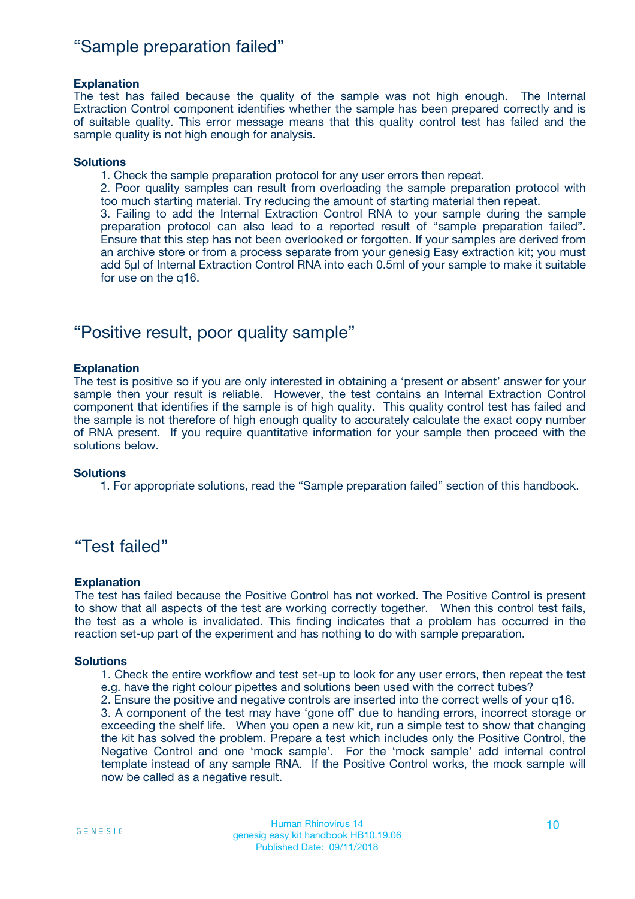### "Sample preparation failed"

#### **Explanation**

The test has failed because the quality of the sample was not high enough. The Internal Extraction Control component identifies whether the sample has been prepared correctly and is of suitable quality. This error message means that this quality control test has failed and the sample quality is not high enough for analysis.

#### **Solutions**

1. Check the sample preparation protocol for any user errors then repeat.

2. Poor quality samples can result from overloading the sample preparation protocol with too much starting material. Try reducing the amount of starting material then repeat.

3. Failing to add the Internal Extraction Control RNA to your sample during the sample preparation protocol can also lead to a reported result of "sample preparation failed". Ensure that this step has not been overlooked or forgotten. If your samples are derived from an archive store or from a process separate from your genesig Easy extraction kit; you must add 5µl of Internal Extraction Control RNA into each 0.5ml of your sample to make it suitable for use on the q16.

### "Positive result, poor quality sample"

#### **Explanation**

The test is positive so if you are only interested in obtaining a 'present or absent' answer for your sample then your result is reliable. However, the test contains an Internal Extraction Control component that identifies if the sample is of high quality. This quality control test has failed and the sample is not therefore of high enough quality to accurately calculate the exact copy number of RNA present. If you require quantitative information for your sample then proceed with the solutions below.

#### **Solutions**

1. For appropriate solutions, read the "Sample preparation failed" section of this handbook.

### "Test failed"

#### **Explanation**

The test has failed because the Positive Control has not worked. The Positive Control is present to show that all aspects of the test are working correctly together. When this control test fails, the test as a whole is invalidated. This finding indicates that a problem has occurred in the reaction set-up part of the experiment and has nothing to do with sample preparation.

#### **Solutions**

1. Check the entire workflow and test set-up to look for any user errors, then repeat the test e.g. have the right colour pipettes and solutions been used with the correct tubes?

2. Ensure the positive and negative controls are inserted into the correct wells of your q16.

3. A component of the test may have 'gone off' due to handing errors, incorrect storage or exceeding the shelf life. When you open a new kit, run a simple test to show that changing the kit has solved the problem. Prepare a test which includes only the Positive Control, the Negative Control and one 'mock sample'. For the 'mock sample' add internal control template instead of any sample RNA. If the Positive Control works, the mock sample will now be called as a negative result.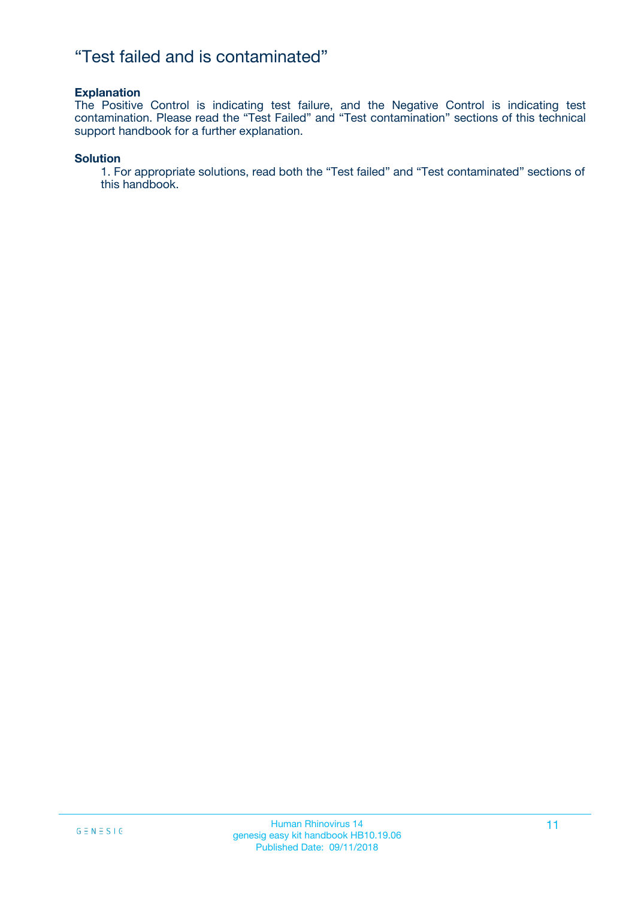### "Test failed and is contaminated"

#### **Explanation**

The Positive Control is indicating test failure, and the Negative Control is indicating test contamination. Please read the "Test Failed" and "Test contamination" sections of this technical support handbook for a further explanation.

#### **Solution**

1. For appropriate solutions, read both the "Test failed" and "Test contaminated" sections of this handbook.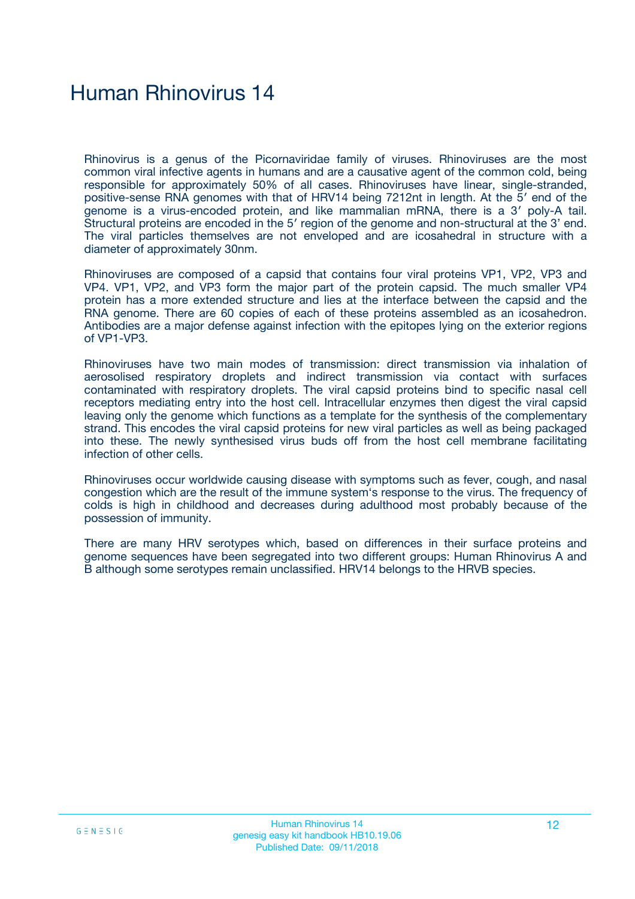## Human Rhinovirus 14

Rhinovirus is a genus of the Picornaviridae family of viruses. Rhinoviruses are the most common viral infective agents in humans and are a causative agent of the common cold, being responsible for approximately 50% of all cases. Rhinoviruses have linear, single-stranded, positive-sense RNA genomes with that of HRV14 being 7212nt in length. At the 5′ end of the genome is a virus-encoded protein, and like mammalian mRNA, there is a 3′ poly-A tail. Structural proteins are encoded in the 5′ region of the genome and non-structural at the 3' end. The viral particles themselves are not enveloped and are icosahedral in structure with a diameter of approximately 30nm.

Rhinoviruses are composed of a capsid that contains four viral proteins VP1, VP2, VP3 and VP4. VP1, VP2, and VP3 form the major part of the protein capsid. The much smaller VP4 protein has a more extended structure and lies at the interface between the capsid and the RNA genome. There are 60 copies of each of these proteins assembled as an icosahedron. Antibodies are a major defense against infection with the epitopes lying on the exterior regions of VP1-VP3.

Rhinoviruses have two main modes of transmission: direct transmission via inhalation of aerosolised respiratory droplets and indirect transmission via contact with surfaces contaminated with respiratory droplets. The viral capsid proteins bind to specific nasal cell receptors mediating entry into the host cell. Intracellular enzymes then digest the viral capsid leaving only the genome which functions as a template for the synthesis of the complementary strand. This encodes the viral capsid proteins for new viral particles as well as being packaged into these. The newly synthesised virus buds off from the host cell membrane facilitating infection of other cells.

Rhinoviruses occur worldwide causing disease with symptoms such as fever, cough, and nasal congestion which are the result of the immune system's response to the virus. The frequency of colds is high in childhood and decreases during adulthood most probably because of the possession of immunity.

There are many HRV serotypes which, based on differences in their surface proteins and genome sequences have been segregated into two different groups: Human Rhinovirus A and B although some serotypes remain unclassified. HRV14 belongs to the HRVB species.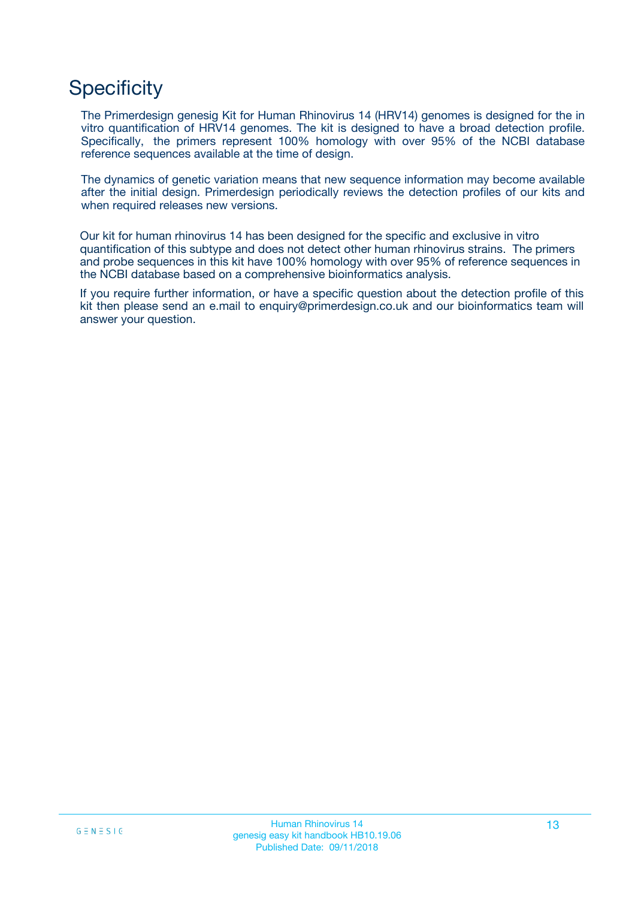## **Specificity**

The Primerdesign genesig Kit for Human Rhinovirus 14 (HRV14) genomes is designed for the in vitro quantification of HRV14 genomes. The kit is designed to have a broad detection profile. Specifically, the primers represent 100% homology with over 95% of the NCBI database reference sequences available at the time of design.

The dynamics of genetic variation means that new sequence information may become available after the initial design. Primerdesign periodically reviews the detection profiles of our kits and when required releases new versions.

Our kit for human rhinovirus 14 has been designed for the specific and exclusive in vitro quantification of this subtype and does not detect other human rhinovirus strains. The primers and probe sequences in this kit have 100% homology with over 95% of reference sequences in the NCBI database based on a comprehensive bioinformatics analysis.

If you require further information, or have a specific question about the detection profile of this kit then please send an e.mail to enquiry@primerdesign.co.uk and our bioinformatics team will answer your question.